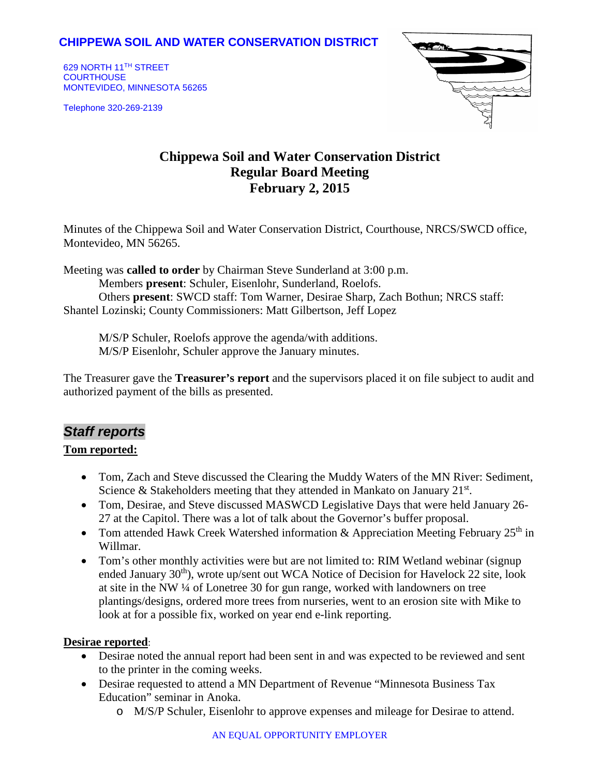## **CHIPPEWA SOIL AND WATER CONSERVATION DISTRICT**

629 NORTH 11TH STREET **COURTHOUSE** MONTEVIDEO, MINNESOTA 56265

Telephone 320-269-2139



# **Chippewa Soil and Water Conservation District Regular Board Meeting February 2, 2015**

Minutes of the Chippewa Soil and Water Conservation District, Courthouse, NRCS/SWCD office, Montevideo, MN 56265.

Meeting was **called to order** by Chairman Steve Sunderland at 3:00 p.m. Members **present**: Schuler, Eisenlohr, Sunderland, Roelofs. Others **present**: SWCD staff: Tom Warner, Desirae Sharp, Zach Bothun; NRCS staff: Shantel Lozinski; County Commissioners: Matt Gilbertson, Jeff Lopez

M/S/P Schuler, Roelofs approve the agenda/with additions. M/S/P Eisenlohr, Schuler approve the January minutes.

The Treasurer gave the **Treasurer's report** and the supervisors placed it on file subject to audit and authorized payment of the bills as presented.

## *Staff reports*

### **Tom reported:**

- Tom, Zach and Steve discussed the Clearing the Muddy Waters of the MN River: Sediment, Science & Stakeholders meeting that they attended in Mankato on January  $21^{st}$ .
- Tom, Desirae, and Steve discussed MASWCD Legislative Days that were held January 26- 27 at the Capitol. There was a lot of talk about the Governor's buffer proposal.
- Tom attended Hawk Creek Watershed information & Appreciation Meeting February  $25<sup>th</sup>$  in Willmar.
- Tom's other monthly activities were but are not limited to: RIM Wetland webinar (signup) ended January 30<sup>th</sup>), wrote up/sent out WCA Notice of Decision for Havelock 22 site, look at site in the NW ¼ of Lonetree 30 for gun range, worked with landowners on tree plantings/designs, ordered more trees from nurseries, went to an erosion site with Mike to look at for a possible fix, worked on year end e-link reporting.

### **Desirae reported**:

- Desirae noted the annual report had been sent in and was expected to be reviewed and sent to the printer in the coming weeks.
- Desirae requested to attend a MN Department of Revenue "Minnesota Business Tax Education" seminar in Anoka.
	- o M/S/P Schuler, Eisenlohr to approve expenses and mileage for Desirae to attend.